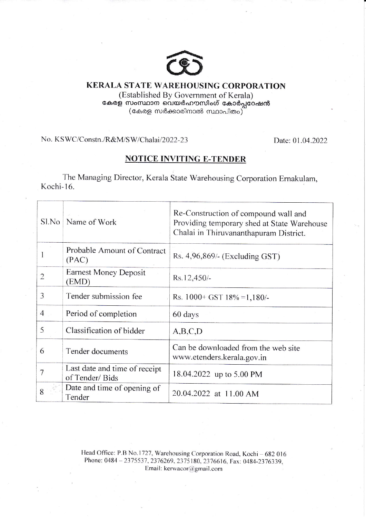

## KERALA STATE WAREHOUSING CORPORATION (Established By Government of Kerala) കേരള സംസ്ഥാന വെയർഹൗസിംഗ് കോർപ്പറേഷൻ  $\left($ കേരള സർക്കാരിനാൽ സ്ഥാപിതം $\right)^{2}$

No. KSWC/Constn./R&M/SW/Chalai/2022-23 Date: 01.04.2022

## NOTICE INVITING E-TENDER

The Managing Director, Kerala State Warehousing Corporation Ernakulam, Kochi-16.

| $S1$ . No      | Name of Work                                    | Re-Construction of compound wall and<br>Providing temporary shed at State Warehouse<br>Chalai in Thiruvananthapuram District. |  |  |
|----------------|-------------------------------------------------|-------------------------------------------------------------------------------------------------------------------------------|--|--|
|                | Probable Amount of Contract<br>(PAC)            | Rs. 4,96,869/- (Excluding GST)                                                                                                |  |  |
| $\overline{2}$ | <b>Earnest Money Deposit</b><br>(EMD)           | Rs.12,450/-                                                                                                                   |  |  |
| 3              | Tender submission fee                           | Rs. $1000 + GST$ 18% = 1,180/-                                                                                                |  |  |
| $\overline{4}$ | Period of completion                            | 60 days                                                                                                                       |  |  |
| 5              | Classification of bidder                        | A,B,C,D                                                                                                                       |  |  |
| 6              | Tender documents                                | Can be downloaded from the web site<br>www.etenders.kerala.gov.in                                                             |  |  |
| 7              | Last date and time of receipt<br>of Tender/Bids | 18.04.2022 up to 5.00 PM                                                                                                      |  |  |
| 8              | Date and time of opening of<br>Tender           | 20.04.2022 at 11.00 AM                                                                                                        |  |  |

Head Office: P.B No.1727, Warehousing Corporation Road, Kochi - 682 016 Phone: 0484 - 2375537, 2376269, 2375 180, 23766 16, Fax: 0484-2376339, Email: kerwacor@gmail.com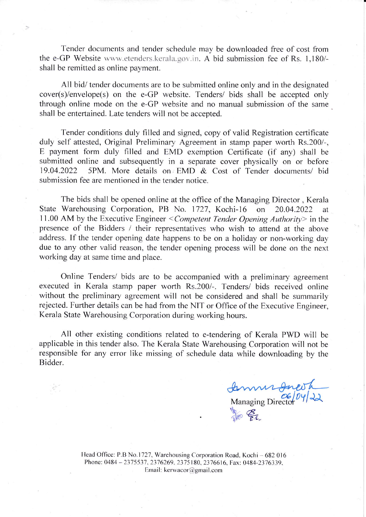Tender documents and tender schedule may be downloaded free of cost from the e-GP Website www.etenders.kerala.gov.in. A bid submission fee of Rs. 1,180/shall be remitted as online payment.

All bid/ tender documents are to be submitted online only and in the designated  $cover(s)/envelope(s)$  on the e-GP website. Tenders/ bids shall be accepted only through online mode on the e-GP website and no manual submission of the same shall be entertained. Late tenders will not be accepted.

Tender conditions duly filled and signed, copy of valid Registration certificate duly self attested, Original Preliminary Agreement in stamp paper worth Rs.200/-, E payment form duly filled and EMD exemption Certificate (if any) shall be submitted online and subsequently in a separate cover physically on or before 19.04.2022 5PM. More details on EMD & Cost of Tender documents/ bid submission fee are mentioned in the tender notice.

The bids shall be opened online at the office of the Managing Director, Kerala State Warehousing Corporation, PB No. 1727, Kochi-16 on 20.04.2022 at 11.00 AM by the Executive Engineer < Competent Tender Opening Authority> in the presence of the Bidders / their representatives who wish to attend at the above address. If the tender opening date happens to be on a holiday or non-working dav due to any other valid reason, the tender opening process will be done on the next working day at same time and place.

Online Tenders/ bids are to be accompanied with a preliminary agreement executed in Kerala stamp paper worth Rs.200/-. Tenders/ bids received online without the preliminary agreement will not be considered and shall be summarily rejected. Further details can be had from the NIT or Office of the Executive Engineer, Kerala State Warehousing Corporation during working hours.

All other existing conditions related to e-tendering of Kerala PWD will be applicable in this tender also. The Kerala State Warehousing Corporation will not be responsible for any error like missing of schedule data while downloading by the Bidder.

Managing Director  $\frac{06}{94}$  $\frac{1}{2}$ 

Head Office: P.B No. 1727, Warehousing Corporation Road, Kochi - 682 016 Phone: 0484 - 2375537, 2376269, 2375 180, 23766 16, Fax: 0484-2376339. Email: kerwacor@gmail.com